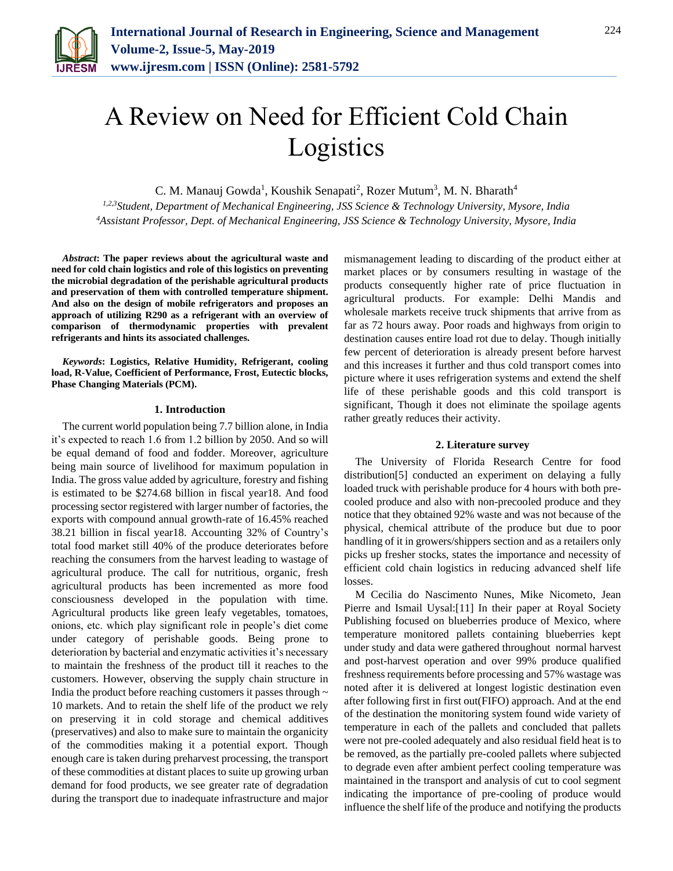

# A Review on Need for Efficient Cold Chain Logistics

C. M. Manauj Gowda<sup>1</sup>, Koushik Senapati<sup>2</sup>, Rozer Mutum<sup>3</sup>, M. N. Bharath<sup>4</sup>

*1,2,3Student, Department of Mechanical Engineering, JSS Science & Technology University, Mysore, India <sup>4</sup>Assistant Professor, Dept. of Mechanical Engineering, JSS Science & Technology University, Mysore, India*

*Abstract***: The paper reviews about the agricultural waste and need for cold chain logistics and role of this logistics on preventing the microbial degradation of the perishable agricultural products and preservation of them with controlled temperature shipment. And also on the design of mobile refrigerators and proposes an approach of utilizing R290 as a refrigerant with an overview of comparison of thermodynamic properties with prevalent refrigerants and hints its associated challenges.**

*Keywords***: Logistics, Relative Humidity, Refrigerant, cooling load, R-Value, Coefficient of Performance, Frost, Eutectic blocks, Phase Changing Materials (PCM).**

#### **1. Introduction**

The current world population being 7.7 billion alone, in India it's expected to reach 1.6 from 1.2 billion by 2050. And so will be equal demand of food and fodder. Moreover, agriculture being main source of livelihood for maximum population in India. The gross value added by agriculture, forestry and fishing is estimated to be \$274.68 billion in fiscal year18. And food processing sector registered with larger number of factories, the exports with compound annual growth-rate of 16.45% reached 38.21 billion in fiscal year18. Accounting 32% of Country's total food market still 40% of the produce deteriorates before reaching the consumers from the harvest leading to wastage of agricultural produce. The call for nutritious, organic, fresh agricultural products has been incremented as more food consciousness developed in the population with time. Agricultural products like green leafy vegetables, tomatoes, onions, etc. which play significant role in people's diet come under category of perishable goods. Being prone to deterioration by bacterial and enzymatic activities it's necessary to maintain the freshness of the product till it reaches to the customers. However, observing the supply chain structure in India the product before reaching customers it passes through  $\sim$ 10 markets. And to retain the shelf life of the product we rely on preserving it in cold storage and chemical additives (preservatives) and also to make sure to maintain the organicity of the commodities making it a potential export. Though enough care is taken during preharvest processing, the transport of these commodities at distant places to suite up growing urban demand for food products, we see greater rate of degradation during the transport due to inadequate infrastructure and major

mismanagement leading to discarding of the product either at market places or by consumers resulting in wastage of the products consequently higher rate of price fluctuation in agricultural products. For example: Delhi Mandis and wholesale markets receive truck shipments that arrive from as far as 72 hours away. Poor roads and highways from origin to destination causes entire load rot due to delay. Though initially few percent of deterioration is already present before harvest and this increases it further and thus cold transport comes into picture where it uses refrigeration systems and extend the shelf life of these perishable goods and this cold transport is significant, Though it does not eliminate the spoilage agents rather greatly reduces their activity.

#### **2. Literature survey**

The University of Florida Research Centre for food distribution[5] conducted an experiment on delaying a fully loaded truck with perishable produce for 4 hours with both precooled produce and also with non-precooled produce and they notice that they obtained 92% waste and was not because of the physical, chemical attribute of the produce but due to poor handling of it in growers/shippers section and as a retailers only picks up fresher stocks, states the importance and necessity of efficient cold chain logistics in reducing advanced shelf life losses.

M Cecilia do Nascimento Nunes, Mike Nicometo, Jean Pierre and Ismail Uysal:[11] In their paper at Royal Society Publishing focused on blueberries produce of Mexico, where temperature monitored pallets containing blueberries kept under study and data were gathered throughout normal harvest and post-harvest operation and over 99% produce qualified freshness requirements before processing and 57% wastage was noted after it is delivered at longest logistic destination even after following first in first out(FIFO) approach. And at the end of the destination the monitoring system found wide variety of temperature in each of the pallets and concluded that pallets were not pre-cooled adequately and also residual field heat is to be removed, as the partially pre-cooled pallets where subjected to degrade even after ambient perfect cooling temperature was maintained in the transport and analysis of cut to cool segment indicating the importance of pre-cooling of produce would influence the shelf life of the produce and notifying the products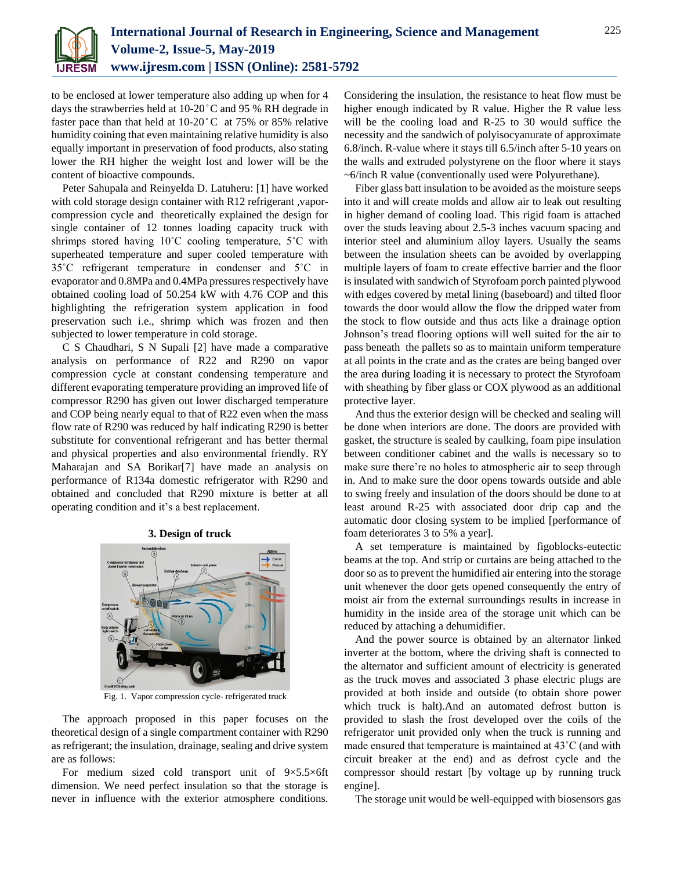

to be enclosed at lower temperature also adding up when for 4 days the strawberries held at 10-20°C and 95 % RH degrade in faster pace than that held at  $10{\text -}20^{\circ}$ C at 75% or 85% relative humidity coining that even maintaining relative humidity is also equally important in preservation of food products, also stating lower the RH higher the weight lost and lower will be the content of bioactive compounds.

Peter Sahupala and Reinyelda D. Latuheru: [1] have worked with cold storage design container with R12 refrigerant , vaporcompression cycle and theoretically explained the design for single container of 12 tonnes loading capacity truck with shrimps stored having 10˚C cooling temperature, 5˚C with superheated temperature and super cooled temperature with 35˚C refrigerant temperature in condenser and 5˚C in evaporator and 0.8MPa and 0.4MPa pressures respectively have obtained cooling load of 50.254 kW with 4.76 COP and this highlighting the refrigeration system application in food preservation such i.e., shrimp which was frozen and then subjected to lower temperature in cold storage.

C S Chaudhari, S N Supali [2] have made a comparative analysis on performance of R22 and R290 on vapor compression cycle at constant condensing temperature and different evaporating temperature providing an improved life of compressor R290 has given out lower discharged temperature and COP being nearly equal to that of R22 even when the mass flow rate of R290 was reduced by half indicating R290 is better substitute for conventional refrigerant and has better thermal and physical properties and also environmental friendly. RY Maharajan and SA Borikar[7] have made an analysis on performance of R134a domestic refrigerator with R290 and obtained and concluded that R290 mixture is better at all operating condition and it's a best replacement.



Fig. 1. Vapor compression cycle- refrigerated truck

The approach proposed in this paper focuses on the theoretical design of a single compartment container with R290 as refrigerant; the insulation, drainage, sealing and drive system are as follows:

For medium sized cold transport unit of 9×5.5×6ft dimension. We need perfect insulation so that the storage is never in influence with the exterior atmosphere conditions.

Considering the insulation, the resistance to heat flow must be higher enough indicated by R value. Higher the R value less will be the cooling load and R-25 to 30 would suffice the necessity and the sandwich of polyisocyanurate of approximate 6.8/inch. R-value where it stays till 6.5/inch after 5-10 years on the walls and extruded polystyrene on the floor where it stays ~6/inch R value (conventionally used were Polyurethane).

Fiber glass batt insulation to be avoided as the moisture seeps into it and will create molds and allow air to leak out resulting in higher demand of cooling load. This rigid foam is attached over the studs leaving about 2.5-3 inches vacuum spacing and interior steel and aluminium alloy layers. Usually the seams between the insulation sheets can be avoided by overlapping multiple layers of foam to create effective barrier and the floor is insulated with sandwich of Styrofoam porch painted plywood with edges covered by metal lining (baseboard) and tilted floor towards the door would allow the flow the dripped water from the stock to flow outside and thus acts like a drainage option Johnson's tread flooring options will well suited for the air to pass beneath the pallets so as to maintain uniform temperature at all points in the crate and as the crates are being banged over the area during loading it is necessary to protect the Styrofoam with sheathing by fiber glass or COX plywood as an additional protective layer.

And thus the exterior design will be checked and sealing will be done when interiors are done. The doors are provided with gasket, the structure is sealed by caulking, foam pipe insulation between conditioner cabinet and the walls is necessary so to make sure there're no holes to atmospheric air to seep through in. And to make sure the door opens towards outside and able to swing freely and insulation of the doors should be done to at least around R-25 with associated door drip cap and the automatic door closing system to be implied [performance of foam deteriorates 3 to 5% a year].

A set temperature is maintained by figoblocks-eutectic beams at the top. And strip or curtains are being attached to the door so as to prevent the humidified air entering into the storage unit whenever the door gets opened consequently the entry of moist air from the external surroundings results in increase in humidity in the inside area of the storage unit which can be reduced by attaching a dehumidifier.

And the power source is obtained by an alternator linked inverter at the bottom, where the driving shaft is connected to the alternator and sufficient amount of electricity is generated as the truck moves and associated 3 phase electric plugs are provided at both inside and outside (to obtain shore power which truck is halt).And an automated defrost button is provided to slash the frost developed over the coils of the refrigerator unit provided only when the truck is running and made ensured that temperature is maintained at 43˚C (and with circuit breaker at the end) and as defrost cycle and the compressor should restart [by voltage up by running truck engine].

The storage unit would be well-equipped with biosensors gas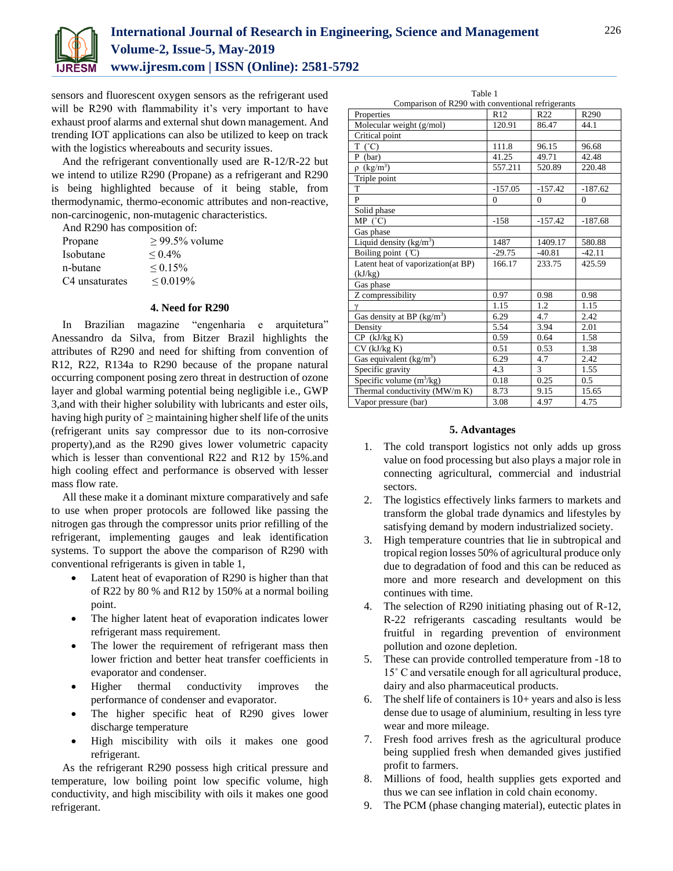

sensors and fluorescent oxygen sensors as the refrigerant used will be R290 with flammability it's very important to have exhaust proof alarms and external shut down management. And trending IOT applications can also be utilized to keep on track with the logistics whereabouts and security issues.

And the refrigerant conventionally used are R-12/R-22 but we intend to utilize R290 (Propane) as a refrigerant and R290 is being highlighted because of it being stable, from thermodynamic, thermo-economic attributes and non-reactive, non-carcinogenic, non-mutagenic characteristics.

And R290 has composition of:

| Propane                    | $> 99.5\%$ volume |
|----------------------------|-------------------|
| Isobutane                  | ${}_{\leq 0.4\%}$ |
| n-butane                   | $\leq 0.15\%$     |
| C <sub>4</sub> unsaturates | $< 0.019\%$       |
|                            |                   |

#### **4. Need for R290**

In Brazilian magazine "engenharia e arquitetura" Anessandro da Silva, from Bitzer Brazil highlights the attributes of R290 and need for shifting from convention of R12, R22, R134a to R290 because of the propane natural occurring component posing zero threat in destruction of ozone layer and global warming potential being negligible i.e., GWP 3,and with their higher solubility with lubricants and ester oils, having high purity of  $\geq$  maintaining higher shelf life of the units (refrigerant units say compressor due to its non-corrosive property),and as the R290 gives lower volumetric capacity which is lesser than conventional R22 and R12 by 15%.and high cooling effect and performance is observed with lesser mass flow rate.

All these make it a dominant mixture comparatively and safe to use when proper protocols are followed like passing the nitrogen gas through the compressor units prior refilling of the refrigerant, implementing gauges and leak identification systems. To support the above the comparison of R290 with conventional refrigerants is given in table 1,

- Latent heat of evaporation of R290 is higher than that of R22 by 80 % and R12 by 150% at a normal boiling point.
- The higher latent heat of evaporation indicates lower refrigerant mass requirement.
- The lower the requirement of refrigerant mass then lower friction and better heat transfer coefficients in evaporator and condenser.
- Higher thermal conductivity improves the performance of condenser and evaporator.
- The higher specific heat of R290 gives lower discharge temperature
- High miscibility with oils it makes one good refrigerant.

As the refrigerant R290 possess high critical pressure and temperature, low boiling point low specific volume, high conductivity, and high miscibility with oils it makes one good refrigerant.

Table 1

| Comparison of R290 with conventional refrigerants |              |                 |                  |  |
|---------------------------------------------------|--------------|-----------------|------------------|--|
| Properties                                        | R12          | R <sub>22</sub> | R <sub>290</sub> |  |
| Molecular weight (g/mol)                          | 120.91       | 86.47           | 44.1             |  |
| Critical point                                    |              |                 |                  |  |
| $T (^{\circ}C)$                                   | 111.8        | 96.15           | 96.68            |  |
| $P$ (bar)                                         | 41.25        | 49.71           | 42.48            |  |
| $\rho$ (kg/m <sup>3</sup> )                       | 557.211      | 520.89          | 220.48           |  |
| Triple point                                      |              |                 |                  |  |
| T                                                 | $-157.05$    | $-157.42$       | $-187.62$        |  |
| P                                                 | $\mathbf{0}$ | $\mathbf{0}$    | $\mathbf{0}$     |  |
| Solid phase                                       |              |                 |                  |  |
| MP (°C)                                           | $-158$       | $-157.42$       | $-187.68$        |  |
| Gas phase                                         |              |                 |                  |  |
| Liquid density $(kg/m3)$                          | 1487         | 1409.17         | 580.88           |  |
| Boiling point $(C)$                               | $-29.75$     | $-40.81$        | $-42.11$         |  |
| Latent heat of vaporization(at BP)                | 166.17       | 233.75          | 425.59           |  |
| (kJ/kg)                                           |              |                 |                  |  |
| Gas phase                                         |              |                 |                  |  |
| Z compressibility                                 | 0.97         | 0.98            | 0.98             |  |
| γ                                                 | 1.15         | 1.2             | 1.15             |  |
| Gas density at BP $(kg/m3)$                       | 6.29         | 4.7             | 2.42             |  |
| Density                                           | 5.54         | 3.94            | 2.01             |  |
| $CP$ (kJ/kg K)                                    | 0.59         | 0.64            | 1.58             |  |
| $CV$ ( $kJ/kg$ K)                                 | 0.51         | 0.53            | 1.38             |  |
| Gas equivalent $(kg/m3)$                          | 6.29         | 4.7             | 2.42             |  |
| Specific gravity                                  | 4.3          | 3               | 1.55             |  |
| Specific volume $(m^3/kg)$                        | 0.18         | 0.25            | 0.5              |  |
| Thermal conductivity (MW/m K)                     | 8.73         | 9.15            | 15.65            |  |
| Vapor pressure (bar)                              | 3.08         | 4.97            | 4.75             |  |

### **5. Advantages**

- 1. The cold transport logistics not only adds up gross value on food processing but also plays a major role in connecting agricultural, commercial and industrial sectors.
- 2. The logistics effectively links farmers to markets and transform the global trade dynamics and lifestyles by satisfying demand by modern industrialized society.
- 3. High temperature countries that lie in subtropical and tropical region losses 50% of agricultural produce only due to degradation of food and this can be reduced as more and more research and development on this continues with time.
- 4. The selection of R290 initiating phasing out of R-12, R-22 refrigerants cascading resultants would be fruitful in regarding prevention of environment pollution and ozone depletion.
- 5. These can provide controlled temperature from -18 to 15˚ C and versatile enough for all agricultural produce, dairy and also pharmaceutical products.
- 6. The shelf life of containers is  $10+$  years and also is less dense due to usage of aluminium, resulting in less tyre wear and more mileage.
- 7. Fresh food arrives fresh as the agricultural produce being supplied fresh when demanded gives justified profit to farmers.
- 8. Millions of food, health supplies gets exported and thus we can see inflation in cold chain economy.
- 9. The PCM (phase changing material), eutectic plates in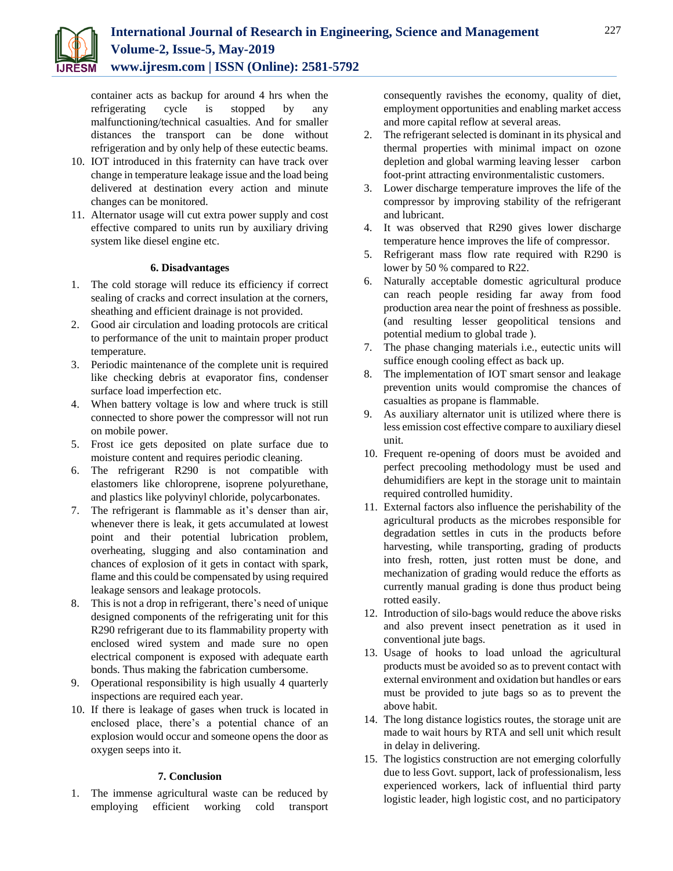

container acts as backup for around 4 hrs when the refrigerating cycle is stopped by any malfunctioning/technical casualties. And for smaller distances the transport can be done without refrigeration and by only help of these eutectic beams.

- 10. IOT introduced in this fraternity can have track over change in temperature leakage issue and the load being delivered at destination every action and minute changes can be monitored.
- 11. Alternator usage will cut extra power supply and cost effective compared to units run by auxiliary driving system like diesel engine etc.

## **6. Disadvantages**

- 1. The cold storage will reduce its efficiency if correct sealing of cracks and correct insulation at the corners, sheathing and efficient drainage is not provided.
- 2. Good air circulation and loading protocols are critical to performance of the unit to maintain proper product temperature.
- 3. Periodic maintenance of the complete unit is required like checking debris at evaporator fins, condenser surface load imperfection etc.
- 4. When battery voltage is low and where truck is still connected to shore power the compressor will not run on mobile power.
- 5. Frost ice gets deposited on plate surface due to moisture content and requires periodic cleaning.
- 6. The refrigerant R290 is not compatible with elastomers like chloroprene, isoprene polyurethane, and plastics like polyvinyl chloride, polycarbonates.
- 7. The refrigerant is flammable as it's denser than air, whenever there is leak, it gets accumulated at lowest point and their potential lubrication problem, overheating, slugging and also contamination and chances of explosion of it gets in contact with spark, flame and this could be compensated by using required leakage sensors and leakage protocols.
- 8. This is not a drop in refrigerant, there's need of unique designed components of the refrigerating unit for this R290 refrigerant due to its flammability property with enclosed wired system and made sure no open electrical component is exposed with adequate earth bonds. Thus making the fabrication cumbersome.
- 9. Operational responsibility is high usually 4 quarterly inspections are required each year.
- 10. If there is leakage of gases when truck is located in enclosed place, there's a potential chance of an explosion would occur and someone opens the door as oxygen seeps into it.

## **7. Conclusion**

1. The immense agricultural waste can be reduced by employing efficient working cold transport consequently ravishes the economy, quality of diet, employment opportunities and enabling market access and more capital reflow at several areas.

- 2. The refrigerant selected is dominant in its physical and thermal properties with minimal impact on ozone depletion and global warming leaving lesser carbon foot-print attracting environmentalistic customers.
- 3. Lower discharge temperature improves the life of the compressor by improving stability of the refrigerant and lubricant.
- 4. It was observed that R290 gives lower discharge temperature hence improves the life of compressor.
- 5. Refrigerant mass flow rate required with R290 is lower by 50 % compared to R22.
- 6. Naturally acceptable domestic agricultural produce can reach people residing far away from food production area near the point of freshness as possible. (and resulting lesser geopolitical tensions and potential medium to global trade ).
- 7. The phase changing materials i.e., eutectic units will suffice enough cooling effect as back up.
- 8. The implementation of IOT smart sensor and leakage prevention units would compromise the chances of casualties as propane is flammable.
- 9. As auxiliary alternator unit is utilized where there is less emission cost effective compare to auxiliary diesel unit.
- 10. Frequent re-opening of doors must be avoided and perfect precooling methodology must be used and dehumidifiers are kept in the storage unit to maintain required controlled humidity.
- 11. External factors also influence the perishability of the agricultural products as the microbes responsible for degradation settles in cuts in the products before harvesting, while transporting, grading of products into fresh, rotten, just rotten must be done, and mechanization of grading would reduce the efforts as currently manual grading is done thus product being rotted easily.
- 12. Introduction of silo-bags would reduce the above risks and also prevent insect penetration as it used in conventional jute bags.
- 13. Usage of hooks to load unload the agricultural products must be avoided so as to prevent contact with external environment and oxidation but handles or ears must be provided to jute bags so as to prevent the above habit.
- 14. The long distance logistics routes, the storage unit are made to wait hours by RTA and sell unit which result in delay in delivering.
- 15. The logistics construction are not emerging colorfully due to less Govt. support, lack of professionalism, less experienced workers, lack of influential third party logistic leader, high logistic cost, and no participatory